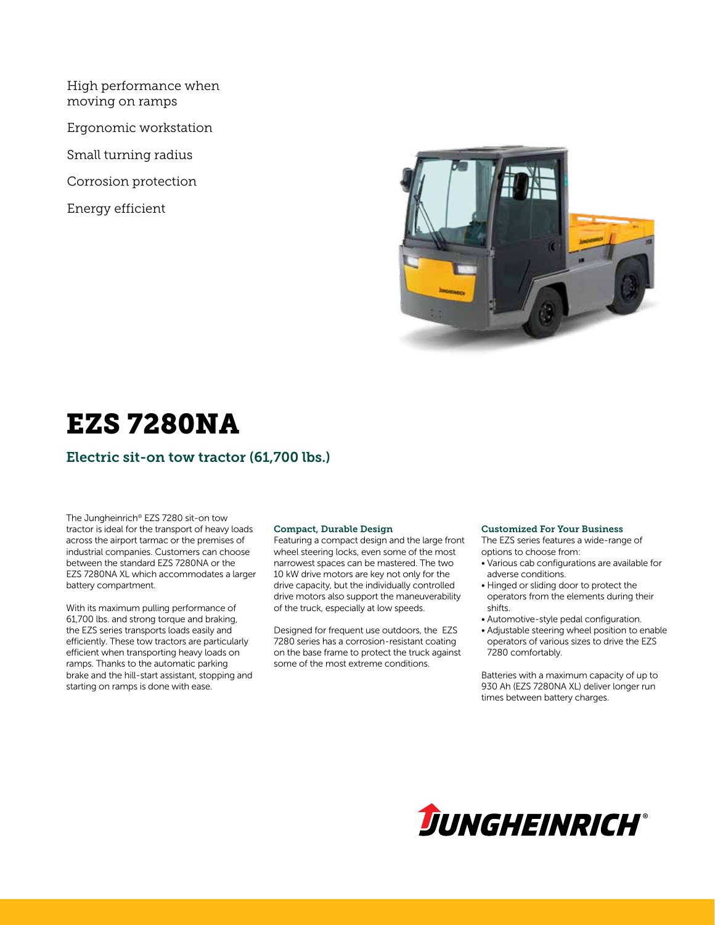High performance when moving on ramps

Ergonomic workstation

Small turning radius

Corrosion protection

Energy efficient



## EZS 7280NA

### Electric sit-on tow tractor (61,700 lbs.)

The Jungheinrich® EZS 7280 sit-on tow tractor is ideal for the transport of heavy loads across the airport tarmac or the premises of industrial companies. Customers can choose between the standard EZS 7280NA or the EZS 7280NA XL which accommodates a larger battery compartment.

With its maximum pulling performance of 61,700 lbs. and strong torque and braking, the EZS series transports loads easily and efficiently. These tow tractors are particularly efficient when transporting heavy loads on ramps. Thanks to the automatic parking brake and the hill-start assistant, stopping and starting on ramps is done with ease.

#### Compact, Durable Design

Featuring a compact design and the large front wheel steering locks, even some of the most narrowest spaces can be mastered. The two 10 kW drive motors are key not only for the drive capacity, but the individually controlled drive motors also support the maneuverability of the truck, especially at low speeds.

Designed for frequent use outdoors, the EZS 7280 series has a corrosion-resistant coating on the base frame to protect the truck against some of the most extreme conditions.

#### Customized For Your Business

The EZS series features a wide-range of options to choose from:

- Various cab configurations are available for adverse conditions.
- Hinged or sliding door to protect the operators from the elements during their shifts.
- Automotive-style pedal configuration.
- Adjustable steering wheel position to enable operators of various sizes to drive the EZS 7280 comfortably.

Batteries with a maximum capacity of up to 930 Ah (EZS 7280NA XL) deliver longer run times between battery charges.

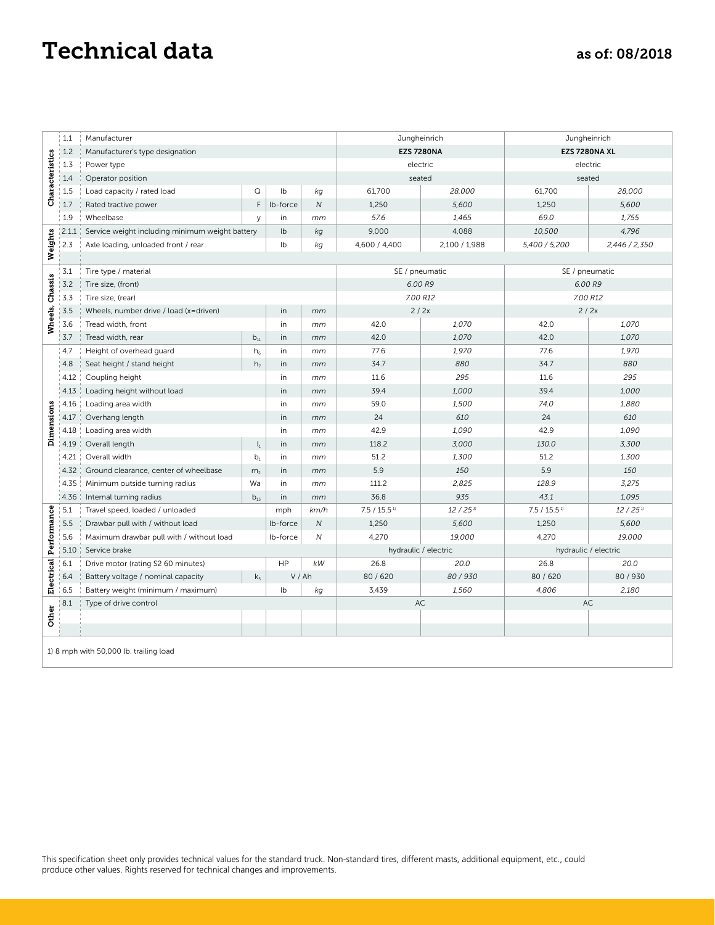### Technical data as of: 08/2018

|                 | 1.1   | Manufacturer                                    |                |              |                            | Jungheinrich          |                         |                      | Jungheinrich |
|-----------------|-------|-------------------------------------------------|----------------|--------------|----------------------------|-----------------------|-------------------------|----------------------|--------------|
|                 | 1.2   | Manufacturer's type designation                 |                |              |                            | <b>EZS 7280NA</b>     |                         | EZS 7280NA XL        |              |
|                 | 1.3   | Power type                                      |                |              |                            | electric              |                         | electric             |              |
|                 | 1.4   | Operator position                               |                | seated       |                            |                       | seated                  |                      |              |
| Characteristics | 1.5   | Load capacity / rated load                      | Q              | lb           | kg                         | 61,700                | 28,000                  | 61,700               | 28,000       |
|                 | 1.7   | Rated tractive power                            | F              | lb-force     | $\overline{N}$             | 1,250                 | 5,600                   | 1,250                | 5,600        |
|                 | 1.9   | Wheelbase                                       | y              | in           | mm                         | 57.6                  | 1,465                   | 69.0                 | 1,755        |
|                 | 2.1.1 | Service weight including minimum weight battery | lb             | kg           | 9,000                      | 4,088                 | 10,500                  | 4,796                |              |
| Weights         | 2.3   | Axle loading, unloaded front / rear             | lb             | kg           | 4,600 / 4,400              | 2,100 / 1,988         | 5,400 / 5,200           | 2,446 / 2,350        |              |
|                 |       |                                                 |                |              |                            |                       |                         |                      |              |
|                 | 3.1   | Tire type / material                            |                |              |                            | SE / pneumatic        |                         | SE / pneumatic       |              |
| Chassis         | 3.2   | Tire size, (front)                              |                |              |                            | 6.00 R9               |                         | 6.00 R9              |              |
|                 | 3.3   | Tire size, (rear)                               |                |              | 7.00 R12                   |                       | 7.00 R12                |                      |              |
|                 | 3.5   | Wheels, number drive / load (x=driven)          | in             | mm           | 2/2x                       |                       | 2/2x                    |                      |              |
| Wheels,         | 3.6   | Tread width, front                              |                | in           | mm                         | 42.0                  | 1,070                   | 42.0                 | 1,070        |
|                 | 3.7   | Tread width, rear                               | $b_{11}$       | in           | mm                         | 42.0                  | 1,070                   | 42.0                 | 1,070        |
|                 | 4.7   | Height of overhead guard                        | $h_6$          | in           | mm                         | 77.6                  | 1,970                   | 77.6                 | 1,970        |
|                 | 4.8   | Seat height / stand height                      | h <sub>7</sub> | in           | mm                         | 34.7                  | 880                     | 34.7                 | 880          |
|                 | 4.12  | Coupling height                                 |                | in           | mm                         | 11.6                  | 295                     | 11.6                 | 295          |
|                 | 4.13  | Loading height without load                     | in             | mm           | 39.4                       | 1,000                 | 39.4                    | 1,000                |              |
|                 | 4.16  | Loading area width                              | in             | mm           | 59.0                       | 1,500                 | 74.0                    | 1,880                |              |
| Dimensions      | 4.17  | Overhang length                                 | in             | mm           | 24                         | 610                   | 24                      | 610                  |              |
|                 | 4.18  | Loading area width                              |                | in           | mm                         | 42.9                  | 1,090                   | 42.9                 | 1,090        |
|                 | 4.19  | Overall length                                  | $\mathsf{l}_1$ | in           | mm                         | 118.2                 | 3,000                   | 130.0                | 3,300        |
|                 | 4.21  | Overall width                                   | b <sub>1</sub> | in           | mm                         | 51.2                  | 1,300                   | 51.2                 | 1,300        |
|                 | 4.32  | Ground clearance, center of wheelbase           | m <sub>2</sub> | in           | mm                         | 5.9                   | 150                     | 5.9                  | 150          |
|                 | 4.35  | Minimum outside turning radius                  | Wa             | in           | mm                         | 111.2                 | 2,825                   | 128.9                | 3,275        |
|                 | 4.36  | Internal turning radius                         | $b_{13}$       | in           | mm                         | 36.8                  | 935                     | 43.1                 | 1,095        |
| Performance     | 5.1   | Travel speed, loaded / unloaded                 | mph            | km/h         | $7.5 / 15.5$ <sup>1)</sup> | $12/25$ <sup>1)</sup> | 7.5 / 15.5 <sup>1</sup> | 12/25 <sup>11</sup>  |              |
|                 | 5.5   | Drawbar pull with / without load                |                | lb-force     | ${\cal N}$                 | 1,250                 | 5,600                   | 1,250                | 5,600        |
|                 | 5.6   | Maximum drawbar pull with / without load        | lb-force       | $\mathcal N$ | 4,270                      | 19,000                | 4,270                   | 19,000               |              |
|                 | 5.10  | Service brake                                   |                |              |                            | hydraulic / electric  |                         | hydraulic / electric |              |
|                 | 6.1   | Drive motor (rating S2 60 minutes)              |                | HP           | kW                         | 26.8                  | 20.0                    | 26.8                 | 20.0         |
| Electrical      | 6.4   | Battery voltage / nominal capacity              | k <sub>5</sub> | V/Ah         |                            | 80/620                | 80/930                  | 80/620               | 80 / 930     |
|                 | 6.5   | Battery weight (minimum / maximum)              |                | lb           | kg                         | 3,439                 | 1,560                   | 4,806                | 2,180        |
| Other           | 8.1   | Type of drive control                           |                |              |                            | AC                    |                         | AC                   |              |
|                 |       |                                                 |                |              |                            |                       |                         |                      |              |

1) 8 mph with 50,000 lb. trailing load

This specification sheet only provides technical values for the standard truck. Non-standard tires, different masts, additional equipment, etc., could produce other values. Rights reserved for technical changes and improvements.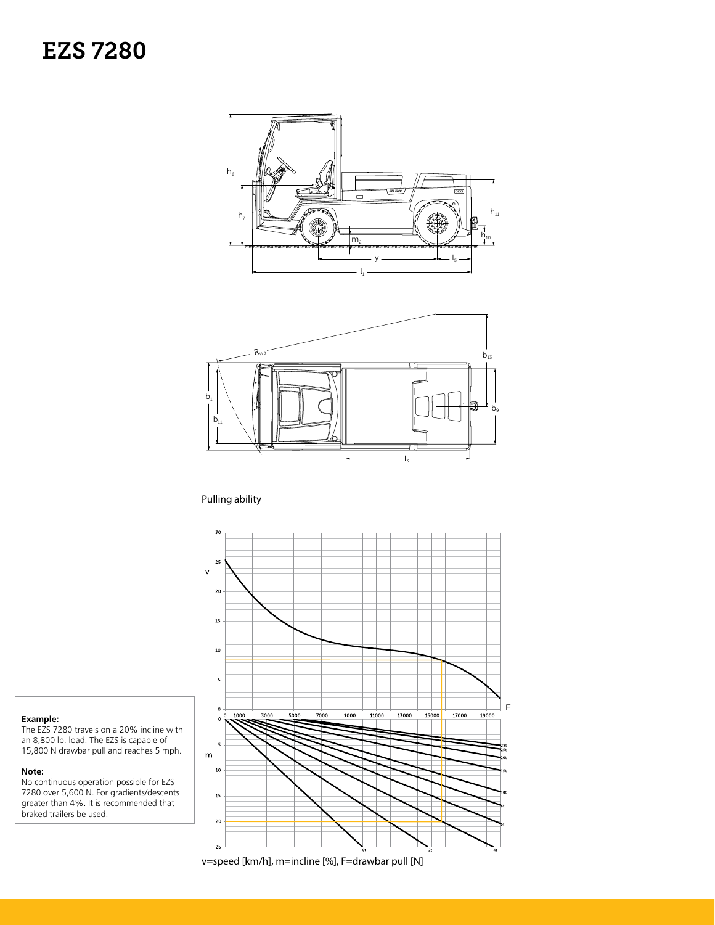



#### Pulling ability



#### **Example:**

The EZS 7280 travels on a 20% incline with an 8,800 lb. load. The EZS is capable of 15,800 N drawbar pull and reaches 5 mph.

#### **Note:**

No continuous operation possible for EZS 7280 over 5,600 N. For gradients/descents greater than 4%. It is recommended that braked trailers be used.